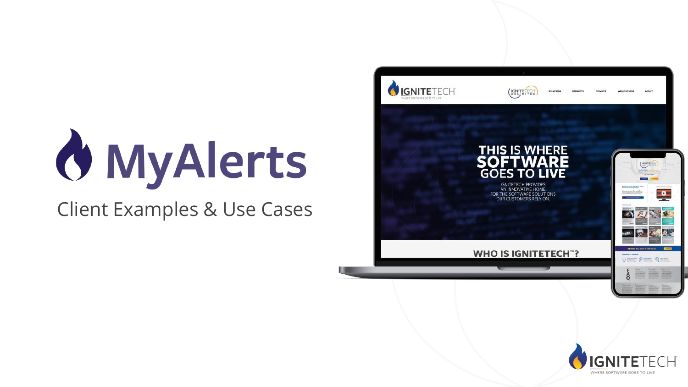# **O** MyAlerts

### Client Examples & Use Cases



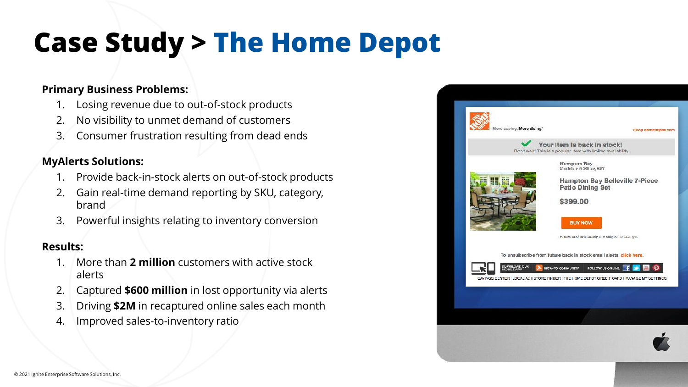### **Case Study > The Home Depot**

#### **Primary Business Problems:**

- 1. Losing revenue due to out-of-stock products
- 2. No visibility to unmet demand of customers
- 3. Consumer frustration resulting from dead ends

#### **MyAlerts Solutions:**

- 1. Provide back-in-stock alerts on out-of-stock products
- 2. Gain real-time demand reporting by SKU, category, brand
- 3. Powerful insights relating to inventory conversion

- 1. More than **2 million** customers with active stock alerts
- 2. Captured **\$600 million** in lost opportunity via alerts
- 3. Driving **\$2M** in recaptured online sales each month
- 4. Improved sales-to-inventory ratio

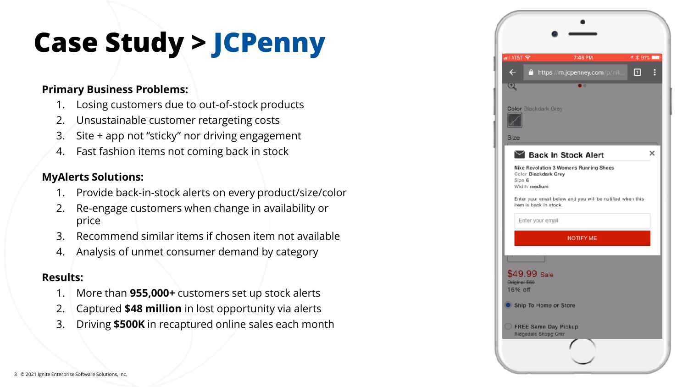### **Case Study > JCPenny**

#### **Primary Business Problems:**

- 1. Losing customers due to out-of-stock products
- 2. Unsustainable customer retargeting costs
- 3. Site + app not "sticky" nor driving engagement
- 4. Fast fashion items not coming back in stock

#### **MyAlerts Solutions:**

- 1. Provide back-in-stock alerts on every product/size/color
- 2. Re-engage customers when change in availability or price
- 3. Recommend similar items if chosen item not available
- 4. Analysis of unmet consumer demand by category

- 1. More than **955,000+** customers set up stock alerts
- 2. Captured **\$48 million** in lost opportunity via alerts
- 3. Driving **\$500K** in recaptured online sales each month

| all AT&T '중              |                                              | 7:46 PM                                                   | イ * 91% ■   |   |
|--------------------------|----------------------------------------------|-----------------------------------------------------------|-------------|---|
| $\leftarrow$             |                                              | https://m.jcpenney.com/p/nik                              | $\boxed{1}$ | B |
| $\overline{\mathcal{L}}$ |                                              | т                                                         |             |   |
| <b>Size</b>              | <b>Color Blackdark Grey</b>                  |                                                           |             |   |
|                          | Back In Stock Alert                          |                                                           |             | × |
| Size 6                   | <b>Color Blackdark Grey</b><br>Width medium  | Nike Revolution 3 Womens Running Shoes                    |             |   |
|                          | item is back in stock.                       | Enter your email below and you will be notified when this |             |   |
|                          | Enter your email                             |                                                           |             |   |
|                          |                                              | <b>NOTIFY ME</b>                                          |             |   |
|                          |                                              |                                                           |             |   |
| Original \$60<br>16% off | $$49.99$ Sale                                |                                                           |             |   |
|                          | Ship To Home or Store                        |                                                           |             |   |
|                          | FREE Same Day Pickup<br>Ridgedale Shopg Cntr |                                                           |             |   |
|                          |                                              |                                                           |             |   |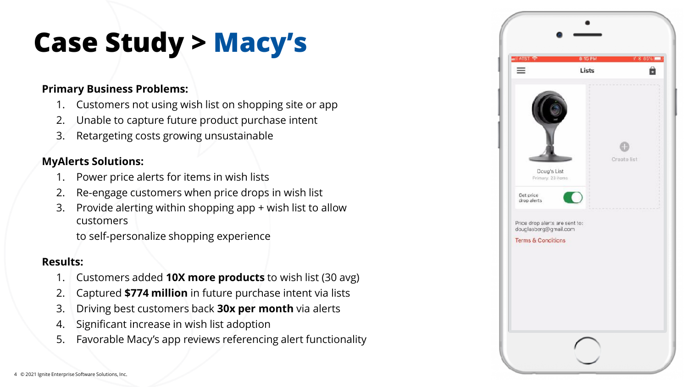### **Case Study > Macy's**

#### **Primary Business Problems:**

- 1. Customers not using wish list on shopping site or app
- 2. Unable to capture future product purchase intent
- 3. Retargeting costs growing unsustainable

#### **MyAlerts Solutions:**

- 1. Power price alerts for items in wish lists
- Re-engage customers when price drops in wish list
- 3. Provide alerting within shopping app + wish list to allow customers

to self-personalize shopping experience

- 1. Customers added **10X more products** to wish list (30 avg)
- 2. Captured **\$774 million** in future purchase intent via lists
- 3. Driving best customers back **30x per month** via alerts
- 4. Significant increase in wish list adoption
- 5. Favorable Macy's app reviews referencing alert functionality

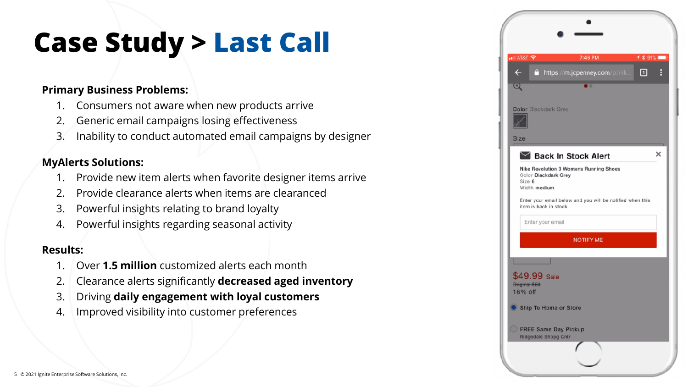### **Case Study > Last Call**

#### **Primary Business Problems:**

- 1. Consumers not aware when new products arrive
- 2. Generic email campaigns losing effectiveness
- 3. Inability to conduct automated email campaigns by designer

#### **MyAlerts Solutions:**

- 1. Provide new item alerts when favorite designer items arrive
- 2. Provide clearance alerts when items are clearanced
- 3. Powerful insights relating to brand loyalty
- 4. Powerful insights regarding seasonal activity

- 1. Over **1.5 million** customized alerts each month
- 2. Clearance alerts significantly **decreased aged inventory**
- 3. Driving **daily engagement with loyal customers**
- 4. Improved visibility into customer preferences

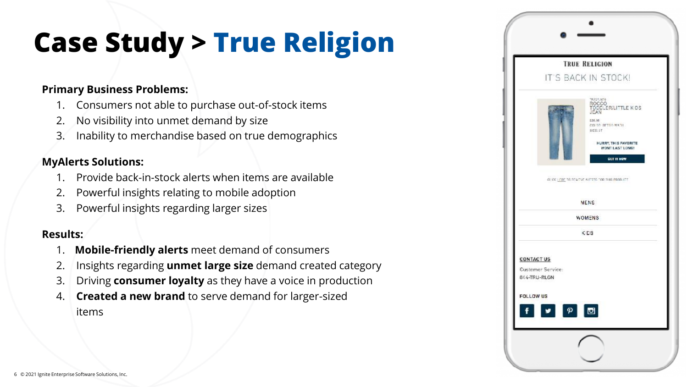### **Case Study > True Religion**

#### **Primary Business Problems:**

- 1. Consumers not able to purchase out-of-stock items
- 2. No visibility into unmet demand by size
- 3. Inability to merchandise based on true demographics

#### **MyAlerts Solutions:**

- 1. Provide back-in-stock alerts when items are available
- 2. Powerful insights relating to mobile adoption
- 3. Powerful insights regarding larger sizes

- 1. **Mobile-friendly alerts** meet demand of consumers
- 2. Insights regarding **unmet large size** demand created category
- 3. Driving **consumer loyalty** as they have a voice in production
- 4. **Created a new brand** to serve demand for larger-sized items

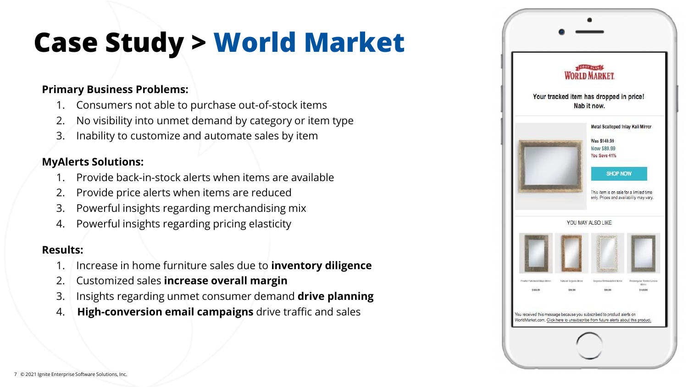### **Case Study > World Market**

#### **Primary Business Problems:**

- 1. Consumers not able to purchase out-of-stock items
- 2. No visibility into unmet demand by category or item type
- 3. Inability to customize and automate sales by item

#### **MyAlerts Solutions:**

- 1. Provide back-in-stock alerts when items are available
- 2. Provide price alerts when items are reduced
- 3. Powerful insights regarding merchandising mix
- 4. Powerful insights regarding pricing elasticity

- 1. Increase in home furniture sales due to **inventory diligence**
- 2. Customized sales **increase overall margin**
- 3. Insights regarding unmet consumer demand **drive planning**
- 4. **High-conversion email campaigns** drive traffic and sales